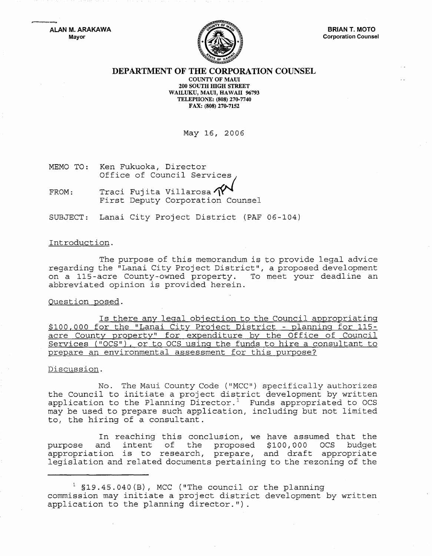**ALAN M. ARAKAWA**  Mayor



## **DEPARTMENT OF THE CORPORATION COUNSEL**

COUNTY OF MAll 200 SOUTH HIGH STREET WAILUKU, MAUI, HAWAII 96793 TELEPHONE: (808) 270-7740 FAX: (808) 270-7152

May 16, 2006

MEMO TO: Ken Fukuoka, Director Office of Council Services

FROM: Traci Fujita Villarosa  $\gamma$ <br>First Deputy Corporation Counsel

SUBJECT: Lanai City Project District (PAF 06-104)

### Introduction.

The purpose of this memorandum is to provide legal advice regarding the "Lanai City Project District", a proposed development on a 115-acre County-owned property. To meet your deadline an abbreviated opinion is provided herein.

#### Question posed.

Is there any legal objection to the Council appropriating \$100,000 for the "Lanai City Project District - planning for 115 acre County property" for expenditure by the Office of Council Services ("OCS"), or to OCS using the funds to hire a consultant to prepare an environmental assessment for this purpose?

#### Discussion.

No. The Maui County Code ("MCC") specifically authorizes the Council to initiate a project district development by written application to the Planning Director.<sup>1</sup> Funds appropriated to OCS may be used to prepare such application, including but not limited to, the hiring of a consultant.

In reaching this conclusion, we have assumed that the<br>and intent of the proposed \$100,000 OCS budget purpose and intent of the proposed  $$100,000$ purpose and incent of the proposed provisor ocs badget<br>appropriation is to research, prepare, and draft appropriate legislation and ed documents pertaining to the rezoning of the

 $1$  \$19.45.040(B), MCC ("The council or the planning commission may initiate a project district development by written application to the planning director.").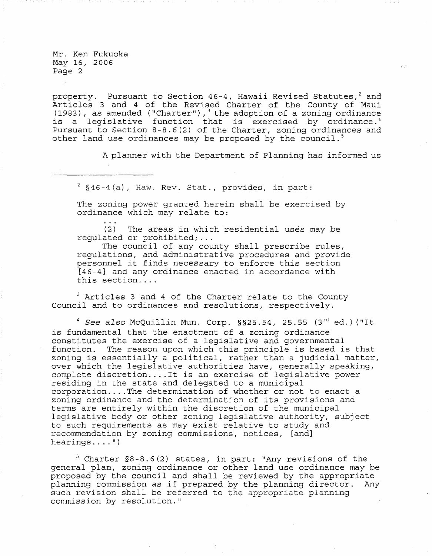Mr. Ken Fukuoka May *16* <sup>1</sup>*2006*  Page 2

property. Pursuant to Section 46-4, Hawaii Revised Statutes, 2 and Articles 3 and 4 of the Revised Charter of the County of Maui (1983), as amended ("Charter"),  $3$  the adoption of a zoning ordinance is a legislative function that is exercised by ordinance.<sup>4</sup> Pursuant to Section 8-8.6(2) of the Charter, zoning ordinances and other land use ordinances may be proposed by the council.<sup>5</sup>

A planner with the Department of Planning has informed us

 $2^{2}$  §46-4(a), Haw. Rev. Stat., provides, in part:

The zoning power granted herein shall be exercised by ordinance which may relate to:

(2) The areas in which residential uses may be regulated or prohibited; ...

The council of any county shall prescribe rules, regulations, and administrative procedures and provide personnel it finds necessary to enforce this section [46-4] and any ordinance enacted in accordance with this section....

<sup>3</sup> Articles 3 and 4 of the Charter relate to the County Council and to ordinances and resolutions, respectively.

 $4$  See also McQuillin Mun. Corp. §§25.54, 25.55 (3 $^{rd}$  ed.) ("It is fundamental that the enactment of a zoning ordinance constitutes the exercise of a legislative and governmental function. The reason upon which this principle is based is that zoning is essentially a political, rather than a judicial matter, over which the legislative authorities have, generally speaking, complete discretion .... It is an exercise of legislative power residing in the state and delegated to a municipal corporation .... The determination of whether or not to enact a zoning ordinance and the determination of its provisions and terms are entirely within the discretion of the municipal legislative body or other zoning legislative authority, subject to such requirements as may exist relative to study and recommendation by zoning commissions, notices, [and] hearings .... ")

5 Charter §8-8.6(2) states, in part: "Any revisions of the general plan, zoning ordinance or other land use ordinance may be proposed by the council and shall be reviewed by the appropriate planning commission as if prepared by the planning director. Any such revision shall be referred to the appropriate planning commission by resolution."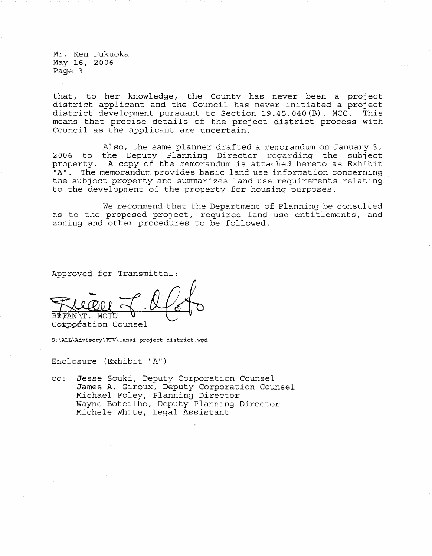Mr. Ken Fukuoka May 16, 2006 Page 3

that, to her knowledge, the County has never been a project district applicant and the Council has never initiated a project district development pursuant to Section 19.45.040(B), MCC. This means that precise details of the project district process with Council as the applicant are uncertain.

Also, the same planner drafted a memorandum on January 3, 2006 to the. Deputy Planning Director regarding the subject property. A copy of the memorandum is attached hereto as Exhibit "A". The memorandum provides basic land use information concerning the subject property and summarizes land use requirements relating to the development of the property for housing purposes.

We recommend that the Department of Planning be consulted as to the proposed project, required land use entitlements, and zoning and other procedures to be followed.

Approved for Transmittal:

ΆN MOTT. Corporation Counsel

S:\ALL\Advisory\TFV\lanai project district.wpd

Enclosure (Exhibit "A")

cc: Jesse Souki, Deputy Corporation Counsel James A. Giroux, Deputy Corporation Counsel Michael Foley, Planning Director Wayne Boteilho, Deputy Planning Director Michele White, Legal Assistant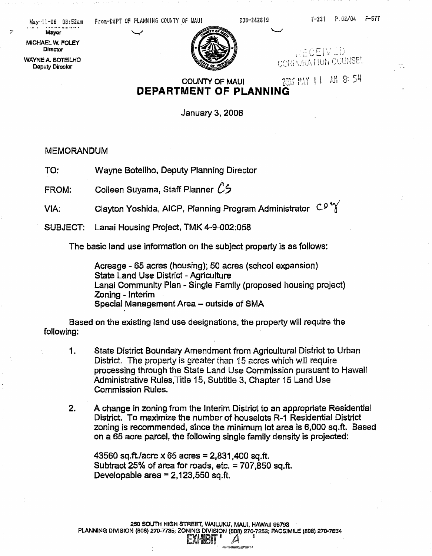May-11-0E 08:52am From-DEPT OF PLANNING COUNTY OF MAUI 808-242819 in the T-231 P.02/04 F-577

rie.

**Mayor** 

MICHAEL W, POLEY **Director** 

WAYNe A. BOTEILHO Oeputy Director

NECEIVED CORPURATION COUNSEL

# **COUNTY OF MAUI** 2005 MAY 11 AM 8: 54 **DEPARTMENT OF PLANNING**

January 3, 2006

MEMORANDUM

TO: Wayne Bateilha, Deputy Planning Director

FROM: Colleen Suyama, Staff Planner  $\mathcal{C}$ 5

VIA: Clayton Yoshida, AICP, Planning Program Administrator  $C_9^{\circ}$ 

SUBJECT: Lanai Housing Project, TMK 4-9-002:058

The basic land use information on the subject property is as follows:

Acreage - 65 acres (housing); 50 acres (school expansion) state Land Use District - Agriculture Lanai Community Plan - Single Family (proposed housing project) Zoning - Interim Special Management Area - outside of SMA

Based on the existing land use designations. the property will require the following:

- 1. State District Boundary Amendment from Agricultural District to Urban District. The property is greater than 15 acres which will require processing through the State Land Use Commission pursuant to Hawaii Administrative Rules,Title 15, Subtitle 3. Chapter 16 Land Use Commission Rules.
- 2. A change in zoning from the Interim District to an appropriate Residential District. To maximize the number of houselots R-1 Residential District zoning is recommended, since the minimum lot area is 6,000 sq.ft. Based on a 65 acre parcel, the following single family density is projected:

43560 sq.ft./acre x 65 acres = 2,831,400 sq.ft. Subtract 25% of area for roads, etc. = 707,850 sq.ft. Developable area  $= 2,123,550$  sq.ft.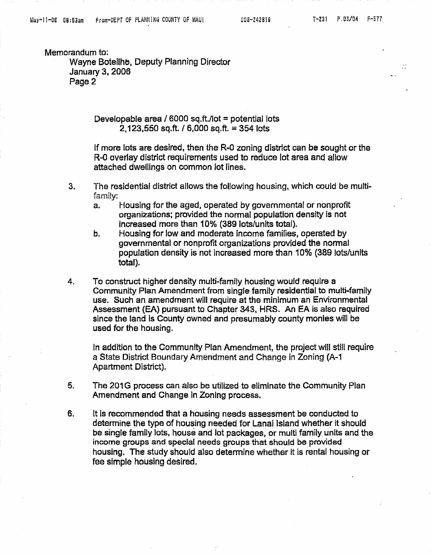Memorandum to:

Wayne Boteilhe, Deputy Planning Director January 3.2006 Page 2

> Developable area /  $6000$  sq.ft./lot = potential lots 2,123,550 sq.ft. / 6,000 sq.ft. = 354 lots

If more lots are desired, then the R-O zoning district can be sought or the R-0 overlay district requirements used to reduce lot area and allow attached dwellings on common lot lines.

- 3. The residential district allows the following housing, which could be multifamily:
	- a. Housing for the aged, operated by governmental or nonprofit organizations; provided the normal population density is not increased more than 10% (389 lots/units total).
	- b. Housing for low and moderate income families, operated by governmental or nonprofit organizations provided the normal population density is not increased more than 10% (389 lots/units total).
- 4. To construct higher density multi-family housing would require a Community Plan Amendment from single family residential to multi-family use. Such an amendment will require at the minimum an Environmental Assessment (EA) pursuant to Chapter 343, HRS. An EA is also required since the land is County owned and presumably county monies will be used for the housing.

In addition to the Community Plan Amendment, the project will still require a State District Boundary Amendment and Change in Zoning (A-1 Apartment District).

- 5. The 201G process can also be utilized to eliminate the Community Plan Amendment and Change in Zoning process.
- 6. It is recommended that a housing needs assessment be conducted to determine the type of housing needed for Lanai Island whether it should be single family lots. house and lot packages, or multi family units and the income groups and special needs groups that should be provided housing. The study should also determine whether it is rental housing or fee simple housing desired.